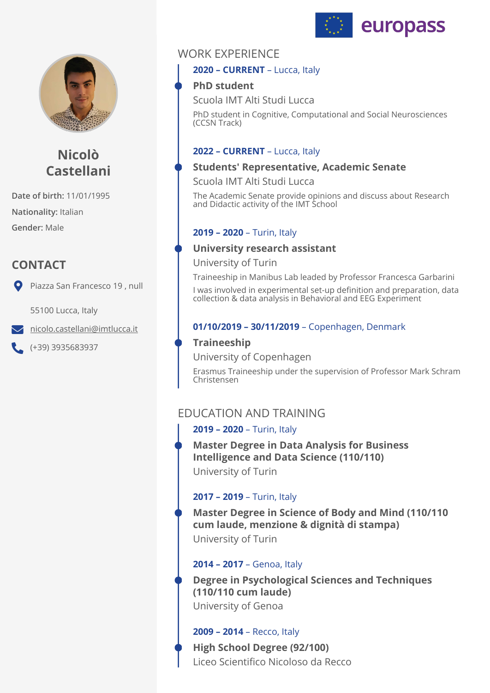



# **Nicolò Castellani**

**Date of birth:** 11/01/1995 **Nationality:** Italian **Gender:** Male

# **CONTACT**

Piazza San Francesco 19, null

55100 Lucca, Italy

 $\blacktriangleright$  [nicolo.castellani@imtlucca.it](mailto:nicolo.castellani@imtlucca.it)

(+39) 3935683937

# WORK EXPERIENCE

#### **2020 – CURRENT** – Lucca, Italy

## **PhD student**

Scuola IMT Alti Studi Lucca

PhD student in Cognitive, Computational and Social Neurosciences (CCSN Track)

### **2022 – CURRENT** – Lucca, Italy

### **Students' Representative, Academic Senate**

Scuola IMT Alti Studi Lucca

The Academic Senate provide opinions and discuss about Research and Didactic activity of the IMT School

## **2019 – 2020** – Turin, Italy

## **University research assistant**

University of Turin

Traineeship in Manibus Lab leaded by Professor Francesca Garbarini I was involved in experimental set-up definition and preparation, data collection & data analysis in Behavioral and EEG Experiment

## **01/10/2019 – 30/11/2019** – Copenhagen, Denmark

# **Traineeship**

University of Copenhagen

Erasmus Traineeship under the supervision of Professor Mark Schram Christensen

# EDUCATION AND TRAINING

### **2019 – 2020** – Turin, Italy

**Master Degree in Data Analysis for Business Intelligence and Data Science (110/110)** 

University of Turin

## **2017 – 2019** – Turin, Italy

**Master Degree in Science of Body and Mind (110/110 cum laude, menzione & dignità di stampa)**  University of Turin

### **2014 – 2017** – Genoa, Italy

**Degree in Psychological Sciences and Techniques (110/110 cum laude)**  University of Genoa

### **2009 – 2014** – Recco, Italy

**High School Degree (92/100)**  Liceo Scientifico Nicoloso da Recco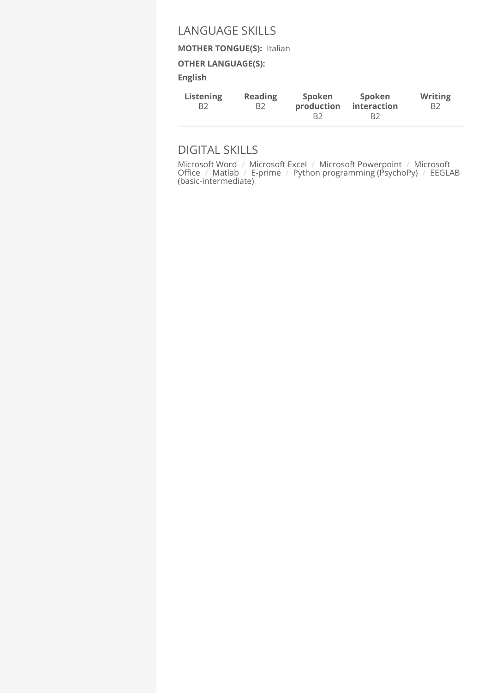## LANGUAGE SKILLS

#### **MOTHER TONGUE(S):** Italian

#### **OTHER LANGUAGE(S):**

**English** 

| Listening | <b>Reading</b> | <b>Spoken</b> | Spoken             | <b>Writing</b> |
|-----------|----------------|---------------|--------------------|----------------|
| B2        | B2             | production    | <b>interaction</b> | B2             |
|           |                | B2            | B2                 |                |

# DIGITAL SKILLS

Microsoft Word / Microsoft Excel / Microsoft Powerpoint / Microsoft Office / Matlab / E-prime / Python programming (PsychoPy) / EEGLAB (basic-intermediate)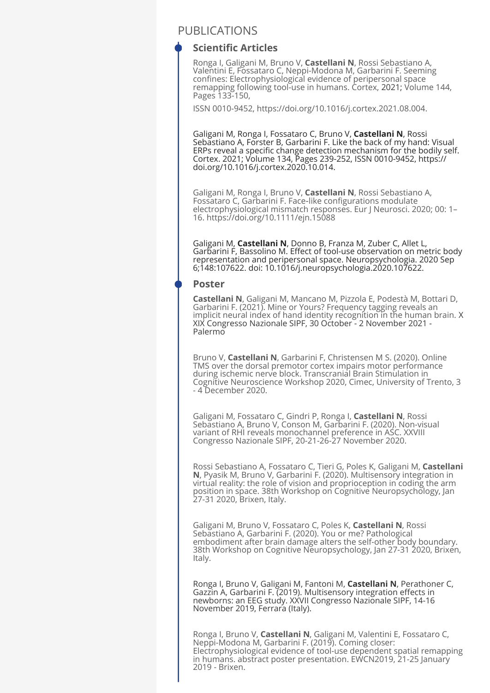### PUBLICATIONS

#### **Scientific Articles**

Ronga I, Galigani M, Bruno V, **Castellani N**, Rossi Sebastiano A, Valentini E, Fossataro C, Neppi-Modona M, Garbarini F. Seeming confines: Electrophysiological evidence of peripersonal space remapping following tool-use in humans. Cortex, 2021; Volume 144, Pages 133-150,

ISSN 0010-9452, https://doi.org/10.1016/j.cortex.2021.08.004.

Galigani M, Ronga I, Fossataro C, Bruno V, **Castellani N**, Rossi Sebastiano A, Forster B, Garbarini F. Like the back of my hand: Visual ERPs reveal a specific change detection mechanism for the bodily self. Cortex. 2021; Volume 134, Pages 239-252, ISSN 0010-9452, https:// doi.org/10.1016/j.cortex.2020.10.014.

Galigani M, Ronga I, Bruno V, **Castellani N**, Rossi Sebastiano A, Fossataro C, Garbarini F. Face‐like configurations modulate electrophysiological mismatch responses. Eur J Neurosci. 2020; 00: 1– 16. https://doi.org/10.1111/ejn.15088

Galigani M, **Castellani N**, Donno B, Franza M, Zuber C, Allet L, Garbarini F, Bassolino M. Effect of tool-use observation on metric body representation and peripersonal space. Neuropsychologia. 2020 Sep 6;148:107622. doi: 10.1016/j.neuropsychologia.2020.107622.

#### **Poster**

**Castellani N**, Galigani M, Mancano M, Pizzola E, Podestà M, Bottari D, Garbarini F. (2021). Mine or Yours? Frequency tagging reveals an implicit neural index of hand identity recognition in the human brain. X XIX Congresso Nazionale SIPF, 30 October - 2 November 2021 - Palermo

Bruno V, **Castellani N**, Garbarini F, Christensen M S. (2020). Online TMS over the dorsal premotor cortex impairs motor performance during ischemic nerve block. Transcranial Brain Stimulation in Cognitive Neuroscience Workshop 2020, Cimec, University of Trento, 3 - 4 December 2020.

Galigani M, Fossataro C, Gindri P, Ronga I, **Castellani N**, Rossi Sebastiano A, Bruno V, Conson M, Garbarini F. (2020). Non-visual variant of RHI reveals monochannel preference in ASC. XXVIII Congresso Nazionale SIPF, 20-21-26-27 November 2020.

Rossi Sebastiano A, Fossataro C, Tieri G, Poles K, Galigani M, **Castellani N**, Pyasik M, Bruno V, Garbarini F. (2020). Multisensory integration in virtual reality: the role of vision and proprioception in coding the arm position in space. 38th Workshop on Cognitive Neuropsychology, Jan 27-31 2020, Brixen, Italy.

Galigani M, Bruno V, Fossataro C, Poles K, **Castellani N**, Rossi Sebastiano A, Garbarini F. (2020). You or me? Pathological embodiment after brain damage alters the self-other body boundary. 38th Workshop on Cognitive Neuropsychology, Jan 27-31 2020, Brixen, Italy.

Ronga I, Bruno V, Galigani M, Fantoni M, **Castellani N**, Perathoner C, Gazzin A, Garbarini F. (2019). Multisensory integration effects in newborns: an EEG study. XXVII Congresso Nazionale SIPF, 14-16 November 2019, Ferrara (Italy).

Ronga I, Bruno V, **Castellani N**, Galigani M, Valentini E, Fossataro C, Neppi-Modona M, Garbarini F. (2019). Coming closer: Electrophysiological evidence of tool-use dependent spatial remapping in humans. abstract poster presentation. EWCN2019, 21-25 January 2019 - Brixen.